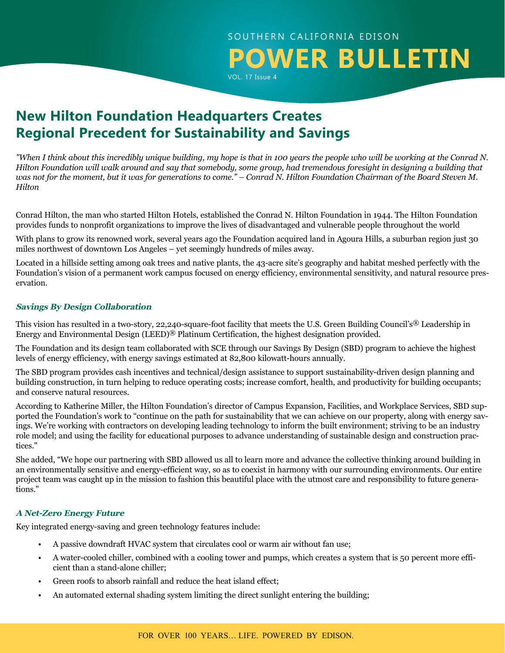## SOUTHERN CALIFORNIA EDISON **POWER BULLETIN** VOL. 17 Issue 4

**New Hilton Foundation Headquarters Creates Regional Precedent for Sustainability and Savings**

*"When I think about this incredibly unique building, my hope is that in 100 years the people who will be working at the Conrad N. Hilton Foundation will walk around and say that somebody, some group, had tremendous foresight in designing a building that was not for the moment, but it was for generations to come." – Conrad N. Hilton Foundation Chairman of the Board Steven M. Hilton*

Conrad Hilton, the man who started Hilton Hotels, established the Conrad N. Hilton Foundation in 1944. The Hilton Foundation provides funds to nonprofit organizations to improve the lives of disadvantaged and vulnerable people throughout the world

With plans to grow its renowned work, several years ago the Foundation acquired land in Agoura Hills, a suburban region just 30 miles northwest of downtown Los Angeles – yet seemingly hundreds of miles away.

Located in a hillside setting among oak trees and native plants, the 43-acre site's geography and habitat meshed perfectly with the Foundation's vision of a permanent work campus focused on energy efficiency, environmental sensitivity, and natural resource preservation.

#### **Savings By Design Collaboration**

This vision has resulted in a two-story, 22,240-square-foot facility that meets the U.S. Green Building Council's® Leadership in Energy and Environmental Design (LEED)® Platinum Certification, the highest designation provided.

The Foundation and its design team collaborated with SCE through our Savings By Design (SBD) program to achieve the highest levels of energy efficiency, with energy savings estimated at 82,800 kilowatt-hours annually.

The SBD program provides cash incentives and technical/design assistance to support sustainability-driven design planning and building construction, in turn helping to reduce operating costs; increase comfort, health, and productivity for building occupants; and conserve natural resources.

According to Katherine Miller, the Hilton Foundation's director of Campus Expansion, Facilities, and Workplace Services, SBD supported the Foundation's work to "continue on the path for sustainability that we can achieve on our property, along with energy savings. We're working with contractors on developing leading technology to inform the built environment; striving to be an industry role model; and using the facility for educational purposes to advance understanding of sustainable design and construction practices."

She added, "We hope our partnering with SBD allowed us all to learn more and advance the collective thinking around building in an environmentally sensitive and energy-efficient way, so as to coexist in harmony with our surrounding environments. Our entire project team was caught up in the mission to fashion this beautiful place with the utmost care and responsibility to future generations."

#### **A Net-Zero Energy Future**

Key integrated energy-saving and green technology features include:

- A passive downdraft HVAC system that circulates cool or warm air without fan use;
- A water-cooled chiller, combined with a cooling tower and pumps, which creates a system that is 50 percent more efficient than a stand-alone chiller;
- Green roofs to absorb rainfall and reduce the heat island effect;
- An automated external shading system limiting the direct sunlight entering the building;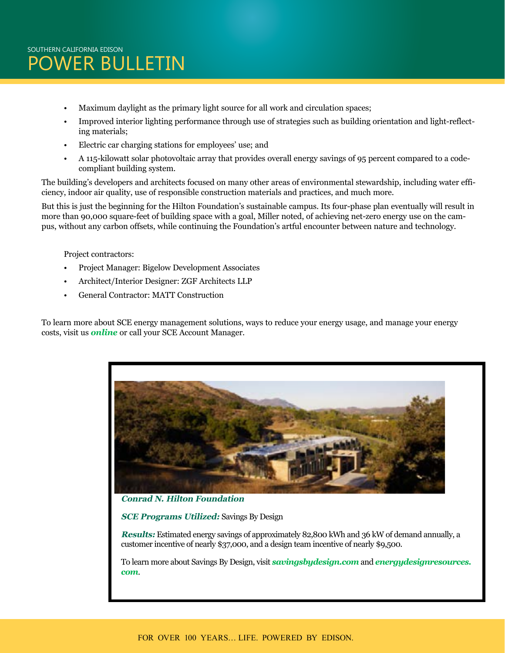- Maximum daylight as the primary light source for all work and circulation spaces;
- Improved interior lighting performance through use of strategies such as building orientation and light-reflecting materials;
- Electric car charging stations for employees' use; and
- A 115-kilowatt solar photovoltaic array that provides overall energy savings of 95 percent compared to a codecompliant building system.

The building's developers and architects focused on many other areas of environmental stewardship, including water efficiency, indoor air quality, use of responsible construction materials and practices, and much more.

But this is just the beginning for the Hilton Foundation's sustainable campus. Its four-phase plan eventually will result in more than 90,000 square-feet of building space with a goal, Miller noted, of achieving net-zero energy use on the campus, without any carbon offsets, while continuing the Foundation's artful encounter between nature and technology.

Project contractors:

- Project Manager: Bigelow Development Associates
- Architect/Interior Designer: ZGF Architects LLP
- General Contractor: MATT Construction

To learn more about SCE energy management solutions, ways to reduce your energy usage, and manage your energy costs, visit us *[online](https://www.sce.com/wps/portal/home/business/!ut/p/b1/04_Sj9CPykssy0xPLMnMz0vMAfGjzOINLdwdPTyDDTzdg8yNDDy9wlx9_J0MjQxMjIAKIoEKDHAARwNC-sP1o8BKLN0NXD28_IFKQgKNDTyNAw38gh0djQ0MzKAK8FhRkBthkOmoqAgAS2tzeQ!!/dl4/d5/L2dBISEvZ0FBIS9nQSEh/?from=business)* or call your SCE Account Manager.



**SCE Programs Utilized:** Savings By Design

**Results:** Estimated energy savings of approximately 82,800 kWh and 36 kW of demand annually, a customer incentive of nearly \$37,000, and a design team incentive of nearly \$9,500.

To learn more about Savings By Design, visit *[savingsbydesign.com](http://savingsbydesign.com)* and *[energydesignresources.](http://energydesignresources.com) [com](http://energydesignresources.com)*.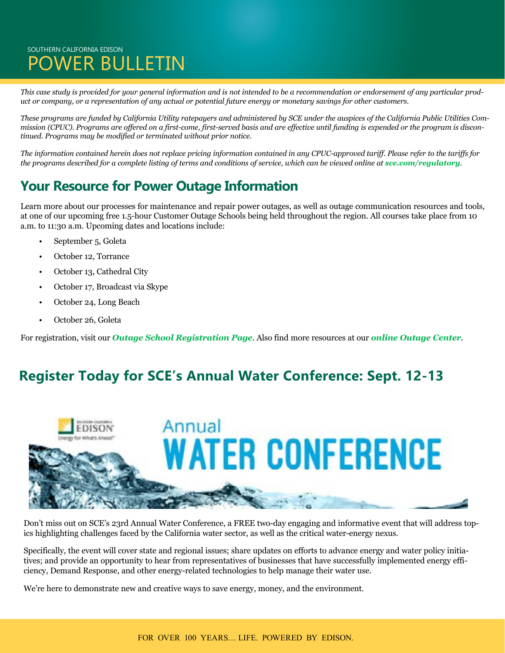### SOUTHERN CALIFORNIA EDISON POWER BULLETIN

*This case study is provided for your general information and is not intended to be a recommendation or endorsement of any particular product or company, or a representation of any actual or potential future energy or monetary savings for other customers.* 

*These programs are funded by California Utility ratepayers and administered by SCE under the auspices of the California Public Utilities Commission (CPUC). Programs are offered on a first-come, first-served basis and are effective until funding is expended or the program is discontinued. Programs may be modified or terminated without prior notice.* 

*The information contained herein does not replace pricing information contained in any CPUC-approved tariff. Please refer to the tariffs for the programs described for a complete listing of terms and conditions of service, which can be viewed online at <i>[sce.com/regulatory](http://www.sce.com/regulatory)*.

# **Your Resource for Power Outage Information**

Learn more about our processes for maintenance and repair power outages, as well as outage communication resources and tools, at one of our upcoming free 1.5-hour Customer Outage Schools being held throughout the region. All courses take place from 10 a.m. to 11:30 a.m. Upcoming dates and locations include:

- September 5, Goleta
- October 12, Torrance
- October 13, Cathedral City
- October 17, Broadcast via Skype
- October 24, Long Beach
- October 26, Goleta

For registration, visit our *[Outage School Registration Page](https://survey.sce.com/perseus/se.ashx?s=0B87A62B073C413F)*. Also find more resources at our *[online Outage Center](https://www.sce.com/wps/portal/home/outage-center/!ut/p/b1/lVLBUoMwEP0VPfTIZJkQEo5ppwPUKiIUCxcmTdOKWqAaO-rXGyonZ4rtnrIz7719m7eoQEtU1OJQbYWumlq8dn3hljbzeRAmELJ5RiEc-0mc3WcQeLYB5AYAJ4rDkR8F9iRghu_HCQa-cCaB53IbwEGPqECFrHWrn1D-LlUpm1qrWpeqHkH_HkHzocVWXUnTqLeO0cpqjfIVJsxjlFgbd7W2HEcSS9iEWIpKoTaCYmbT3uGAhX82PDochvwCPB-mwSwyI9IYQ4hjuEs4xwBuDxj4pdyYpCdHEEDJhVv_EYyID0Zw6t_cjlOAlF4sODvjEqrn_b7gJs8ut0-NlmcG2u4WO4a_rJcHBpi0h-85v_4BTaC7ZQ!!/dl4/d5/L2dBISEvZ0FBIS9nQSEh/)*.

### **Register Today for SCE's Annual Water Conference: Sept. 12-13**



Don't miss out on SCE's 23rd Annual Water Conference, a FREE two-day engaging and informative event that will address topics highlighting challenges faced by the California water sector, as well as the critical water-energy nexus.

Specifically, the event will cover state and regional issues; share updates on efforts to advance energy and water policy initiatives; and provide an opportunity to hear from representatives of businesses that have successfully implemented energy efficiency, Demand Response, and other energy-related technologies to help manage their water use.

We're here to demonstrate new and creative ways to save energy, money, and the environment.